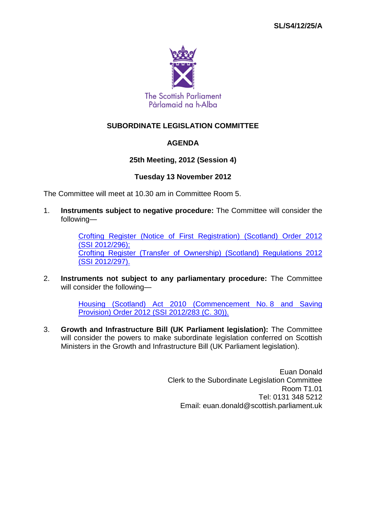

# **SUBORDINATE LEGISLATION COMMITTEE**

## **AGENDA**

### **25th Meeting, 2012 (Session 4)**

#### **Tuesday 13 November 2012**

The Committee will meet at 10.30 am in Committee Room 5.

1. **Instruments subject to negative procedure:** The Committee will consider the following—

> [Crofting Register \(Notice of First Registration\) \(Scotland\) Order 2012](http://www.legislation.gov.uk/ssi/2012/296/contents/made)  (SSI [2012/296\);](http://www.legislation.gov.uk/ssi/2012/296/contents/made) Crofting Register (Transfer [of Ownership\) \(Scotland\) Regulations 2012](http://www.legislation.gov.uk/ssi/2012/297/contents/made)  (SSI [2012/297\).](http://www.legislation.gov.uk/ssi/2012/297/contents/made)

2. **Instruments not subject to any parliamentary procedure:** The Committee will consider the following—

> [Housing \(Scotland\) Act 2010 \(Commencement No.](http://www.legislation.gov.uk/ssi/2012/283/contents/made) 8 and Saving [Provision\) Order 2012 \(SSI](http://www.legislation.gov.uk/ssi/2012/283/contents/made) 2012/283 (C. 30)).

3. **Growth and Infrastructure Bill (UK Parliament legislation):** The Committee will consider the powers to make subordinate legislation conferred on Scottish Ministers in the Growth and Infrastructure Bill (UK Parliament legislation).

> Euan Donald Clerk to the Subordinate Legislation Committee Room T1.01 Tel: 0131 348 5212 Email: euan.donald@scottish.parliament.uk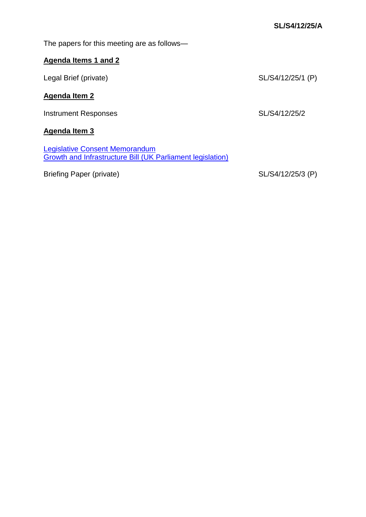The papers for this meeting are as follows—

# **Agenda Items 1 and 2**

| Legal Brief (private) | SL/S4/12/25/1 (P) |
|-----------------------|-------------------|
| <b>Agenda Item 2</b>  |                   |
| Instrument Responses  | SL/S4/12/25/2     |

**Agenda Item 3**

[Legislative Consent Memorandum](http://www.scottish.parliament.uk/LegislativeConsentMemoranda/GrowthInfrastructureBill_lcm.pdf)  [Growth and Infrastructure Bill \(UK Parliament legislation\)](http://www.scottish.parliament.uk/LegislativeConsentMemoranda/GrowthInfrastructureBill_lcm.pdf)

Briefing Paper (private) SL/S4/12/25/3 (P)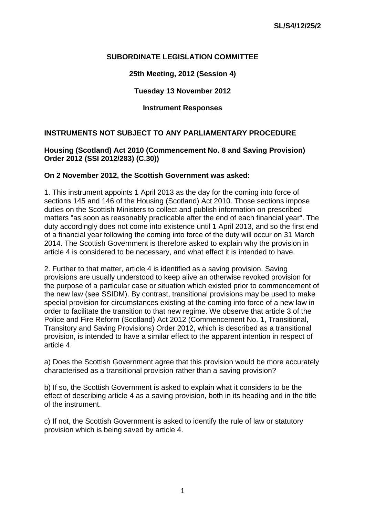### **SUBORDINATE LEGISLATION COMMITTEE**

**25th Meeting, 2012 (Session 4)** 

#### **Tuesday 13 November 2012**

#### **Instrument Responses**

#### **INSTRUMENTS NOT SUBJECT TO ANY PARLIAMENTARY PROCEDURE**

#### **Housing (Scotland) Act 2010 (Commencement No. 8 and Saving Provision) Order 2012 (SSI 2012/283) (C.30))**

#### **On 2 November 2012, the Scottish Government was asked:**

1. This instrument appoints 1 April 2013 as the day for the coming into force of sections 145 and 146 of the Housing (Scotland) Act 2010. Those sections impose duties on the Scottish Ministers to collect and publish information on prescribed matters "as soon as reasonably practicable after the end of each financial year". The duty accordingly does not come into existence until 1 April 2013, and so the first end of a financial year following the coming into force of the duty will occur on 31 March 2014. The Scottish Government is therefore asked to explain why the provision in article 4 is considered to be necessary, and what effect it is intended to have.

2. Further to that matter, article 4 is identified as a saving provision. Saving provisions are usually understood to keep alive an otherwise revoked provision for the purpose of a particular case or situation which existed prior to commencement of the new law (see SSIDM). By contrast, transitional provisions may be used to make special provision for circumstances existing at the coming into force of a new law in order to facilitate the transition to that new regime. We observe that article 3 of the Police and Fire Reform (Scotland) Act 2012 (Commencement No. 1, Transitional, Transitory and Saving Provisions) Order 2012, which is described as a transitional provision, is intended to have a similar effect to the apparent intention in respect of article 4.

a) Does the Scottish Government agree that this provision would be more accurately characterised as a transitional provision rather than a saving provision?

b) If so, the Scottish Government is asked to explain what it considers to be the effect of describing article 4 as a saving provision, both in its heading and in the title of the instrument.

c) If not, the Scottish Government is asked to identify the rule of law or statutory provision which is being saved by article 4.